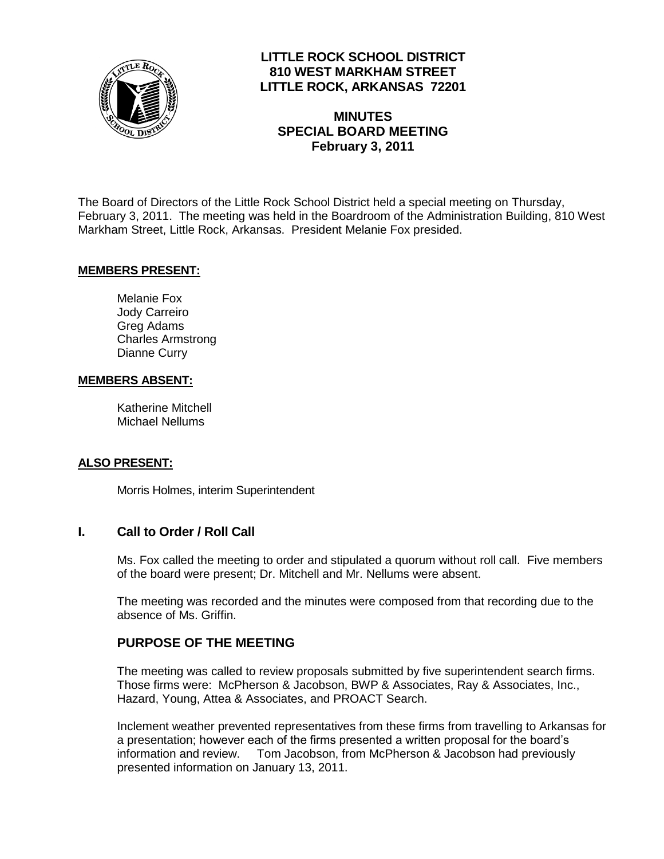

# **LITTLE ROCK SCHOOL DISTRICT 810 WEST MARKHAM STREET LITTLE ROCK, ARKANSAS 72201**

**MINUTES SPECIAL BOARD MEETING February 3, 2011**

The Board of Directors of the Little Rock School District held a special meeting on Thursday, February 3, 2011. The meeting was held in the Boardroom of the Administration Building, 810 West Markham Street, Little Rock, Arkansas. President Melanie Fox presided.

#### **MEMBERS PRESENT:**

Melanie Fox Jody Carreiro Greg Adams Charles Armstrong Dianne Curry

#### **MEMBERS ABSENT:**

Katherine Mitchell Michael Nellums

#### **ALSO PRESENT:**

Morris Holmes, interim Superintendent

### **I. Call to Order / Roll Call**

Ms. Fox called the meeting to order and stipulated a quorum without roll call. Five members of the board were present; Dr. Mitchell and Mr. Nellums were absent.

The meeting was recorded and the minutes were composed from that recording due to the absence of Ms. Griffin.

### **PURPOSE OF THE MEETING**

The meeting was called to review proposals submitted by five superintendent search firms. Those firms were: McPherson & Jacobson, BWP & Associates, Ray & Associates, Inc., Hazard, Young, Attea & Associates, and PROACT Search.

Inclement weather prevented representatives from these firms from travelling to Arkansas for a presentation; however each of the firms presented a written proposal for the board's information and review. Tom Jacobson, from McPherson & Jacobson had previously presented information on January 13, 2011.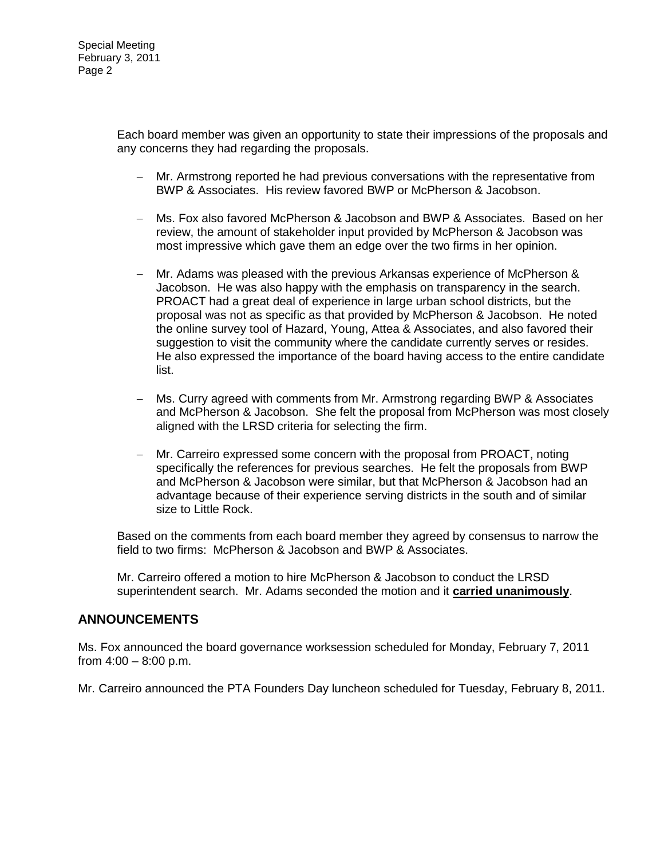Each board member was given an opportunity to state their impressions of the proposals and any concerns they had regarding the proposals.

- Mr. Armstrong reported he had previous conversations with the representative from BWP & Associates. His review favored BWP or McPherson & Jacobson.
- Ms. Fox also favored McPherson & Jacobson and BWP & Associates. Based on her review, the amount of stakeholder input provided by McPherson & Jacobson was most impressive which gave them an edge over the two firms in her opinion.
- Mr. Adams was pleased with the previous Arkansas experience of McPherson & Jacobson. He was also happy with the emphasis on transparency in the search. PROACT had a great deal of experience in large urban school districts, but the proposal was not as specific as that provided by McPherson & Jacobson. He noted the online survey tool of Hazard, Young, Attea & Associates, and also favored their suggestion to visit the community where the candidate currently serves or resides. He also expressed the importance of the board having access to the entire candidate list.
- Ms. Curry agreed with comments from Mr. Armstrong regarding BWP & Associates and McPherson & Jacobson. She felt the proposal from McPherson was most closely aligned with the LRSD criteria for selecting the firm.
- Mr. Carreiro expressed some concern with the proposal from PROACT, noting specifically the references for previous searches. He felt the proposals from BWP and McPherson & Jacobson were similar, but that McPherson & Jacobson had an advantage because of their experience serving districts in the south and of similar size to Little Rock.

Based on the comments from each board member they agreed by consensus to narrow the field to two firms: McPherson & Jacobson and BWP & Associates.

Mr. Carreiro offered a motion to hire McPherson & Jacobson to conduct the LRSD superintendent search. Mr. Adams seconded the motion and it **carried unanimously**.

### **ANNOUNCEMENTS**

Ms. Fox announced the board governance worksession scheduled for Monday, February 7, 2011 from  $4:00 - 8:00$  p.m.

Mr. Carreiro announced the PTA Founders Day luncheon scheduled for Tuesday, February 8, 2011.